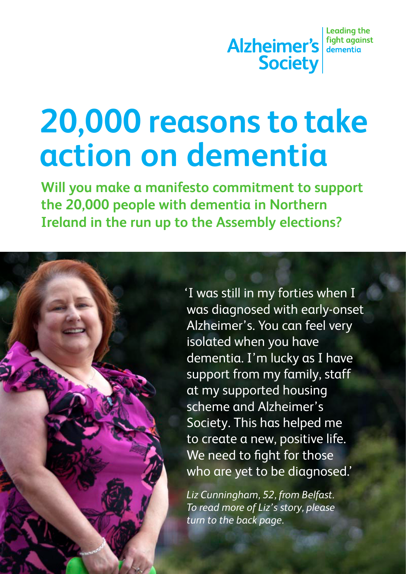# **20,000 reasons to take action on dementia**

**Will you make a manifesto commitment to support the 20,000 people with dementia in Northern Ireland in the run up to the Assembly elections?**



'I was still in my forties when I was diagnosed with early-onset Alzheimer's. You can feel very isolated when you have dementia. I'm lucky as I have support from my family, staff at my supported housing scheme and Alzheimer's Society. This has helped me to create a new, positive life. We need to fight for those who are yet to be diagnosed.'

*Liz Cunningham, 52, from Belfast. To read more of Liz's story, please turn to the back page.*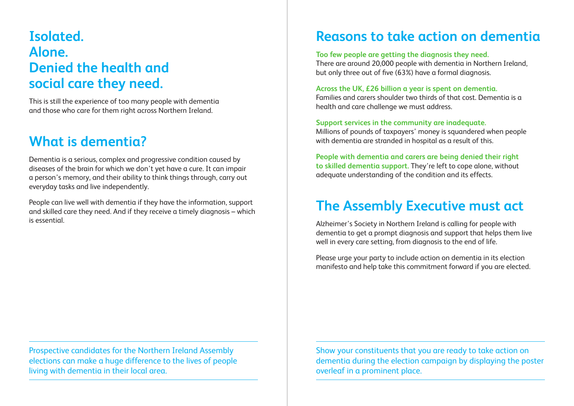# **Isolated. Alone. Denied the health and social care they need.**

This is still the experience of too many people with dementia and those who care for them right across Northern Ireland.

# **What is dementia?**

Dementia is a serious, complex and progressive condition caused by diseases of the brain for which we don't yet have a cure. It can impair a person's memory, and their ability to think things through, carry out everyday tasks and live independently.

People can live well with dementia if they have the information, support and skilled care they need. And if they receive a timely diagnosis – which is essential.

**Reasons to take action on dementia**

**Too few people are getting the diagnosis they need.**

There are around 20,000 people with dementia in Northern Ireland, but only three out of five (63%) have a formal diagnosis.

#### **Across the UK, £26 billion a year is spent on dementia.**

Families and carers shoulder two thirds of that cost. Dementia is a health and care challenge we must address.

**Support services in the community are inadequate.**

Millions of pounds of taxpayers' money is squandered when people with dementia are stranded in hospital as a result of this.

**People with dementia and carers are being denied their right to skilled dementia support.** They're left to cope alone, without adequate understanding of the condition and its effects.

## **The Assembly Executive must act**

Alzheimer's Society in Northern Ireland is calling for people with dementia to get a prompt diagnosis and support that helps them live well in every care setting, from diagnosis to the end of life.

Please urge your party to include action on dementia in its election manifesto and help take this commitment forward if you are elected.

Prospective candidates for the Northern Ireland Assembly elections can make a huge difference to the lives of people living with dementia in their local area.

Show your constituents that you are ready to take action on dementia during the election campaign by displaying the poster overleaf in a prominent place.